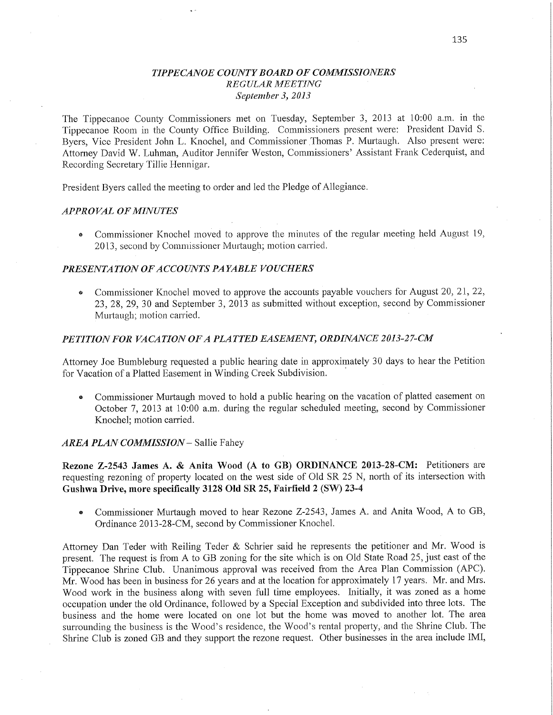## *TIPPECANOE COUNTY BOARD* OF *COMZMISSIONERS REGULAR AIEETING September* 3, *2013*

The Tippecanoe County Commissioners met on Tuesday, September 3, 2013 at 10:00 am. in the Tippecanoe Room in the County Office Building. Commissioners present were: President David S. Byers, Vice President John L. Knochel, and Commissioner Thomas P. Murtaugh. Also present were: Attorney David W. Luhman, Auditor Jennifer Weston, Commissioners' Assistant Frank Cederquist, and Recording Secretary Tillie Hennigar.

President Byers called the meeting to order and led the Pledge of Allegiance.

## *APPROVAL* OF *MINUTES*

**•** Commissioner Knochel moved to approve the minutes of the regular meeting held August 19, 2013, second by Commissioner Murtaugh; motion carried.

## *PRESENTATION* OF *ACCOUNTS PAYABLE VOUCHERS*

• Commissioner Knochel moved to approve the accounts payable vouchers for August 20, 21, 22, 23, 28, 29, 30 and September 3, 2013 as submitted without exception, second by Commissione1 Murtaugh; motion carried.

#### *PETITION* FOR *VACATION* OF *A PLAT* TED *EASEMENT, ORDINANCE 2013-27-CM*

Attorney Joe Bumbleburg requested a public hearing date in approximately 30 days to hear the Petition for Vacation of a Platted Easement in Winding Creek Subdivision.

**0** Commissioner Murtaugh moved to hold a public hearing on the vacation of platted easement on October 7, 2013 at 10:00 am. during the regular scheduled meeting, second by Commissioner Knochel; motion carried.

#### *AREA PLAN COMMISSION* — Sallie **Fahey**

**Rezone Z-2543 James** A. *&* **Anita** Wood (A to GB) **ORDINANCE 2013-28—CM:** Petitioners are requesting rezoning of property located on the west side of Old SR 25 N, north of its intersection with Gushwa **Drive, more specifically 3128** Old SR 25, Fairfield **2** (SW) **23-4** 

**<sup>0</sup>**Commissioner Murtaugh moved to hear Rezone Z-2543, James A. and Anita Wood, **A** to GB, Ordinance 2013-28-CM, second by Commissioner Knochel.

Attorney Dan Teder with Reiling Teder & Schrier said he represents the petitioner and Mr. Wood is present. The request is from **A** to GB zoning for the site which is on Old State Road 25, just east of the Tippecanoe **Shrine** Club. Unanimous approval was received from the Area **Plan** Commission (APC). Mr. Wood has been in business for 26 years and at the location for approximately 17 years. Mr. and Mrs. Wood work in the business along with seven full time employees. Initially, it was zoned as **a** home occupation under the 01d Ordinance, followed by a Special Exception and subdivided into three lots. The business and the home were located on one lot but the home was moved to another **lot.** The area surrounding the business is the Wood's residence, the Wood's rental property, and the Shrine Club. The Shrine Club is zoned GB and they support the rezone request. Other businesses in the area include IMI,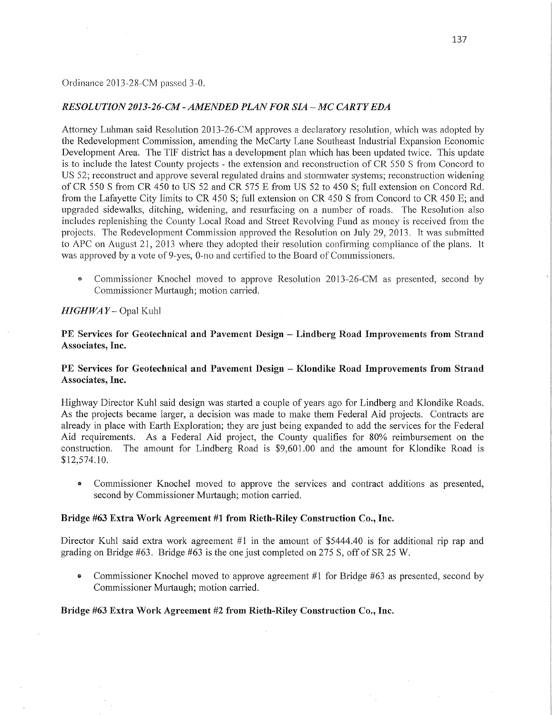#### Ordinance 2013-28—CM passed 3—0.

### *RESOL UTION2013-26-CM- AMENDED PLAN* FOR SIA *—* MC *CARTYEDA*

Attorney Luhman said Resolution 2013-26-CM approves a declaratory resolution, which was adopted by the Redevelopment Commission, amending the McCarty Lane Southeast Industrial Expansion Economic Development Area. The TIF district has a development plan which has been updated twice. This update is to include the latest County projects **—** the extension and reconstruction of CR 550 S from Concord to US 52; reconstruct and approve several regulated drains and stormwater systems; reconstruction widening of CR 550 S from CR 450 to US 52 and CR 575 E from US 52 to 450 S; full extension on Concord Rd. from the Lafayette City limits to CR 450 S; full extension on CR 450 S from Concord to CR 450 E; and upgraded sidewalks, ditching, Widening, and resurfacing on a number of roads. The Resolution also includes replenishing the County Local Road and Street Revolving Fund as money is received from the projects. The Redevelopment Commission approved the Resolution on July 29, 2013. It was submitted to APC on August 21, 2013 where they adopted their resolution confirming compliance of the plans. It was approved by a vote of 9-yes, 0-no and certified to the Board of Commissioners.

• Commissioner Knochel moved to approve Resolution 2013-26-CM as presented, second by Commissioner Murtaugh; motion carried.

### *HIGHWA Y —* Opal Kuhl

PE Services for **Geotechnical** and Pavement Design *—* **Lindberg Road Improvements** from Strand Associates, **Inc.** 

## PE Services for **Geotechnical** and **Pavement** Design *-* **Klondike Road** Improvements from **Strand**  Associates, **Inc.**

Highway Director Kuhl said design was started a couple of years ago for Lindberg and Klondike Roads. As the projects became larger, a decision was made to make them Federal Aid projects. Contracts are already in place with Earth Exploration; they are just being expanded to add the services for the Federal Aid requirements. As a Federal Aid project, the County qualifies for 80% reimbursement on the construction. The amount for Lindberg Road is \$9,601.00 and the amount for Klondike Road is \$12,574.10.

**0** Commissioner Knochel moved to approve the services and contract additions as presented, second by Commissioner Murtaugh; motion carried.

#### Bridge #63 **Extra** Work **Agreement** #1 from **Rieth-Riley** Construction Co., **Inc.**

Director Kuhl said extra work agreement  $#1$  in the amount of \$5444.40 is for additional rip rap and grading on Bridge #63. Bridge #63 is the one just completed on 275 S, off of SR 25 W.

**0** Commissioner Knochel moved to approve agreement #1 for Bridge #63 as presented, second by Commissioner Murtaugh; motion carried.

### Bridge #63 **Extra Work Agreement** #2 **from** Rieth-Riley Construction **Co., Inc.**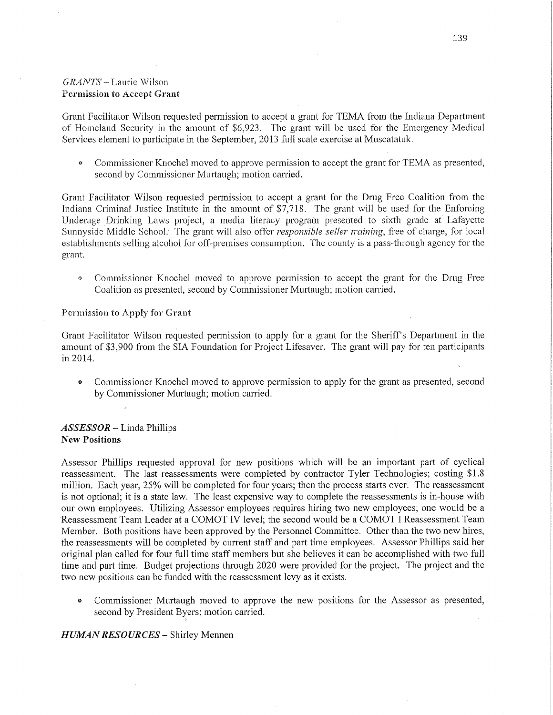# *GRANTS* **—** Laurie **W** i1son Permission to Accept Grant

Grant Facilitator Wilson requested permission to accept a grant for TEMA from the Indiana Department of Homeland Security in the amount of \$6,923. The giant will be used for the Emergency Medical Services element to participate in the September, 2013 full scale exercise at Muscatatuk.

**•** Commissioner Knochel moved to approve permission to accept the grant for TEMA as presented, second by Commissioner Murtaugh; motion carried.

Grant Facilitator Wilson requested permission to accept a grant for the Drug Free Coalition from the Indiana Criminal Justice Institute in the amount of \$7,718. The grant will be used for the Enforcing Underage Drinking Laws project, a media literacy program presented to sixth grade at' Lafayette Sunnyside Middle School. The grant will also offer *responsible seller training*, free of charge, for local establishments selling alcohol for off-premises consumption. The county is a pass-through agency for the grant.

<sup>*a*</sup> Commissioner Knochel moved to approve permission to accept the grant for the Drug Free Coalition as presented, second by Commissioner Murtaugh; motion carried.

#### Permission to Apply for Grant

Grant Facilitator Wilson requested permission to apply for a grant for the Sheriff's Department in the amount of \$3,900 from the SIA Foundation for Project Lifesaver. The grant will pay for ten participants in 2014.

**0** Commissioner Knochel moved to approve permission to apply for the grant as presented, second by Commissioner Murtaugh; motion carried.

## $ASSESSOR$  - Linda Phillips New Positions

Assessor Phillips requested approval for new positions which will be an important part of cyclical reassessment. The last reassessments were completed by contractor Tyler Technologies; costing \$1.8 million. Each year, 25% will be completed for four years; then the process starts over. The reassessment is not optional; it is a state law. The least expensive way to complete the reassessments is in-house with our own employees. Utilizing Assessor employees requires hiring two new employees; one would be <sup>a</sup> Reassessment Team Leader at a COMOT IV level; the second would be a COMOT I Reassessment Team Member. Both positions have been approved by the Personnel Committee. Other than the two new hires, the reassessments will be completed by current staff and part time employees. Assessor Phillips said her original plan called for four full time staff members but she believes it can be accomplished with two full time and part time. Budget projections through 2020 were provided for the project. The project and the two new positions can be funded with the reassessment levy as it exists.

**0** Commissioner Murtaugh moved to approve the new positions for the Assessor as presented, second by President Byers; motion carried.

## *H UIWAN RESO URCES* — Shirley Mennen